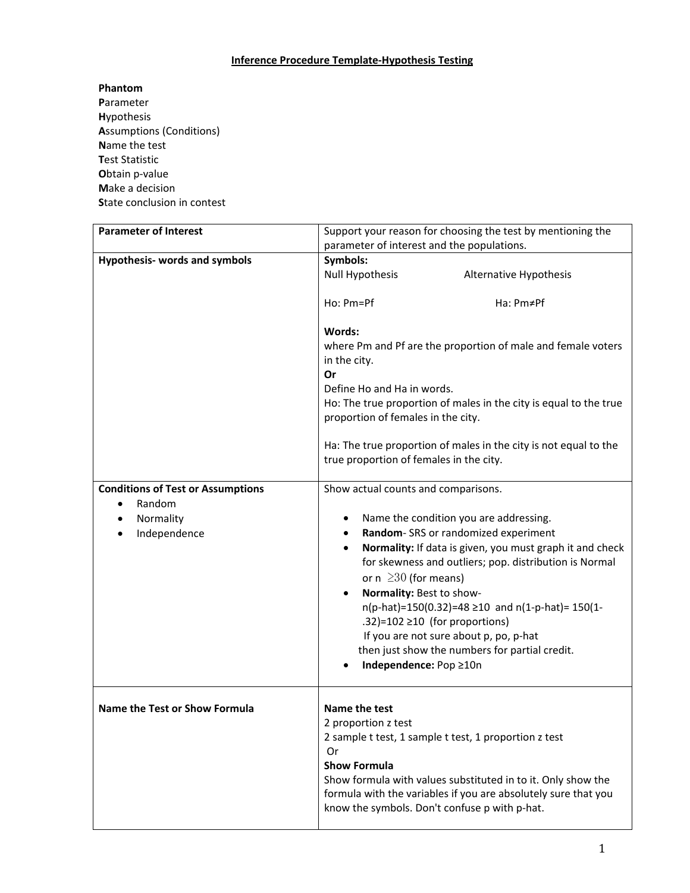# **Inference Procedure Template‐Hypothesis Testing**

## **Phantom**

**P**arameter **H**ypothesis **A**ssumptions (Conditions) **N**ame the test **T**est Statistic **O**btain p‐value **M**ake a decision **S**tate conclusion in contest

| <b>Parameter of Interest</b>             | Support your reason for choosing the test by mentioning the                                                                                                                                     |
|------------------------------------------|-------------------------------------------------------------------------------------------------------------------------------------------------------------------------------------------------|
|                                          | parameter of interest and the populations.                                                                                                                                                      |
| <b>Hypothesis- words and symbols</b>     | Symbols:                                                                                                                                                                                        |
|                                          | <b>Null Hypothesis</b><br>Alternative Hypothesis                                                                                                                                                |
|                                          | Ho: Pm=Pf<br>Ha: Pm≠Pf                                                                                                                                                                          |
|                                          | Words:<br>where Pm and Pf are the proportion of male and female voters<br>in the city.<br>Or<br>Define Ho and Ha in words.<br>Ho: The true proportion of males in the city is equal to the true |
|                                          | proportion of females in the city.<br>Ha: The true proportion of males in the city is not equal to the                                                                                          |
|                                          | true proportion of females in the city.                                                                                                                                                         |
| <b>Conditions of Test or Assumptions</b> | Show actual counts and comparisons.                                                                                                                                                             |
| Random<br>$\bullet$                      |                                                                                                                                                                                                 |
| Normality<br>$\bullet$                   | Name the condition you are addressing.<br>٠                                                                                                                                                     |
| Independence<br>$\bullet$                | Random-SRS or randomized experiment<br>٠                                                                                                                                                        |
|                                          | Normality: If data is given, you must graph it and check<br>$\bullet$                                                                                                                           |
|                                          | for skewness and outliers; pop. distribution is Normal                                                                                                                                          |
|                                          | or $n \geq 30$ (for means)                                                                                                                                                                      |
|                                          | Normality: Best to show-<br>$\bullet$                                                                                                                                                           |
|                                          | $n(p-hat)=150(0.32)=48 \ge 10$ and $n(1-p-hat)=150(1-$                                                                                                                                          |
|                                          | .32)=102 $\geq$ 10 (for proportions)                                                                                                                                                            |
|                                          | If you are not sure about p, po, p-hat                                                                                                                                                          |
|                                          | then just show the numbers for partial credit.                                                                                                                                                  |
|                                          | Independence: Pop ≥10n                                                                                                                                                                          |
| <b>Name the Test or Show Formula</b>     | Name the test                                                                                                                                                                                   |
|                                          | 2 proportion z test                                                                                                                                                                             |
|                                          | 2 sample t test, 1 sample t test, 1 proportion z test                                                                                                                                           |
|                                          | Or                                                                                                                                                                                              |
|                                          | <b>Show Formula</b>                                                                                                                                                                             |
|                                          | Show formula with values substituted in to it. Only show the<br>formula with the variables if you are absolutely sure that you<br>know the symbols. Don't confuse p with p-hat.                 |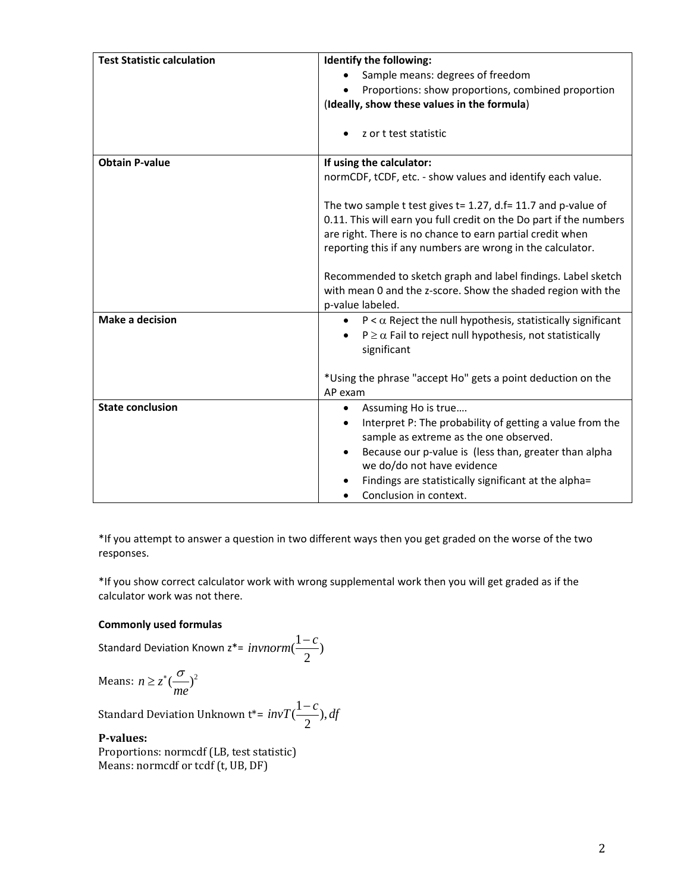| <b>Test Statistic calculation</b> | Identify the following:                                               |
|-----------------------------------|-----------------------------------------------------------------------|
|                                   | Sample means: degrees of freedom                                      |
|                                   | Proportions: show proportions, combined proportion                    |
|                                   | (Ideally, show these values in the formula)                           |
|                                   |                                                                       |
|                                   | z or t test statistic                                                 |
|                                   |                                                                       |
| <b>Obtain P-value</b>             | If using the calculator:                                              |
|                                   | normCDF, tCDF, etc. - show values and identify each value.            |
|                                   |                                                                       |
|                                   | The two sample t test gives $t = 1.27$ , d.f= 11.7 and p-value of     |
|                                   | 0.11. This will earn you full credit on the Do part if the numbers    |
|                                   | are right. There is no chance to earn partial credit when             |
|                                   | reporting this if any numbers are wrong in the calculator.            |
|                                   | Recommended to sketch graph and label findings. Label sketch          |
|                                   | with mean 0 and the z-score. Show the shaded region with the          |
|                                   | p-value labeled.                                                      |
| <b>Make a decision</b>            | $P < \alpha$ Reject the null hypothesis, statistically significant    |
|                                   | $P \ge \alpha$ Fail to reject null hypothesis, not statistically      |
|                                   | significant                                                           |
|                                   |                                                                       |
|                                   | *Using the phrase "accept Ho" gets a point deduction on the           |
|                                   | AP exam                                                               |
| <b>State conclusion</b>           | Assuming Ho is true<br>$\bullet$                                      |
|                                   | Interpret P: The probability of getting a value from the<br>$\bullet$ |
|                                   | sample as extreme as the one observed.                                |
|                                   | Because our p-value is (less than, greater than alpha<br>$\bullet$    |
|                                   | we do/do not have evidence                                            |
|                                   | Findings are statistically significant at the alpha=                  |
|                                   | Conclusion in context.                                                |

\*If you attempt to answer a question in two different ways then you get graded on the worse of the two responses.

\*If you show correct calculator work with wrong supplemental work then you will get graded as if the calculator work was not there.

 $\frac{1-c}{2}$ 

### **Commonly used formulas**

Standard Deviation Known 
$$
z^* = \text{invnorm}(
$$

$$
\text{Means: } n \ge z^* \left(\frac{\sigma}{me}\right)^2
$$

Standard Deviation Unknown t\*=  $invT(\frac{1-c}{2}), df$ 

#### **Pvalues:**

Proportions: normcdf (LB, test statistic) Means: normcdf or tcdf (t, UB, DF)